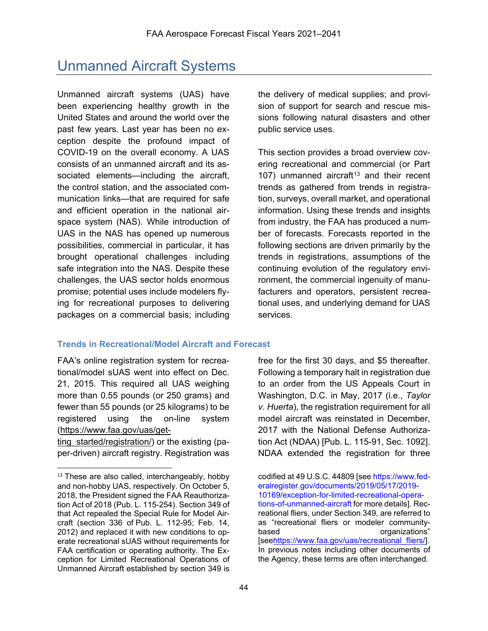# Unmanned Aircraft Systems

Unmanned aircraft systems (UAS) have been experiencing healthy growth in the United States and around the world over the past few years. Last year has been no exception despite the profound impact of COVID-19 on the overall economy. A UAS consists of an unmanned aircraft and its associated elements—including the aircraft, the control station, and the associated communication links—that are required for safe and efficient operation in the national airspace system (NAS). While introduction of UAS in the NAS has opened up numerous possibilities, commercial in particular, it has brought operational challenges including safe integration into the NAS. Despite these challenges, the UAS sector holds enormous promise; potential uses include modelers flying for recreational purposes to delivering packages on a commercial basis; including

the delivery of medical supplies; and provision of support for search and rescue missions following natural disasters and other public service uses.

This section provides a broad overview covering recreational and commercial (or Part 107) unmanned aircraft<sup>[13](#page-0-0)</sup> and their recent trends as gathered from trends in registration, surveys, overall market, and operational information. Using these trends and insights from industry, the FAA has produced a number of forecasts. Forecasts reported in the following sections are driven primarily by the trends in registrations, assumptions of the continuing evolution of the regulatory environment, the commercial ingenuity of manufacturers and operators, persistent recreational uses, and underlying demand for UAS services.

# **Trends in Recreational/Model Aircraft and Forecast**

FAA's online registration system for recreational/model sUAS went into effect on Dec. 21, 2015. This required all UAS weighing more than 0.55 pounds (or 250 grams) and fewer than 55 pounds (or 25 kilograms) to be registered using the on-line system [\(https://www.faa.gov/uas/get-](https://www.faa.gov/uas/getting_started/registration/)

ting started/registration/) or the existing (paper-driven) aircraft registry. Registration was

 $\ddot{\phantom{a}}$ 

free for the first 30 days, and \$5 thereafter. Following a temporary halt in registration due to an order from the US Appeals Court in Washington, D.C. in May, 2017 (i.e., *Taylor v. Huerta*), the registration requirement for all model aircraft was reinstated in December, 2017 with the National Defense Authorization Act (NDAA) [Pub. L. 115-91, Sec. 1092]. NDAA extended the registration for three

<span id="page-0-0"></span><sup>13</sup> These are also called, interchangeably, hobby codified at 49 U.S.C. 44809 [see https://www.fed-<br>and non-hobby UAS, respectively. On October 5. eral register.gov/documents/2019/05/17/2019reational fliers, under Section 349, are referred to<br>as "recreational fliers or modeler community-

and non-hobby UAS, respectively. On October 5, [eralregister.gov/documents/2019/05/17/2019-](https://www.federalregister.gov/documents/2019/05/17/2019-10169/exception-for-limited-recreational-operations-of-unmanned-aircraft)<br>2018, the President signed the FAA Reauthoriza- 10169/exception-for-limited-recreational-opera-2018, the President signed the FAA Reauthoriza-<br>
tion Act of 2018 (Pub. L. 115-254). Section 349 of the state of unmanned-aircraft for more details]. Rection Act of 2018 (Pub. L. 115-254). Section 349 of<br>that Act repealed the Special Rule for Model Aircraft (section 336 of Pub. L. 112-95; Feb. 14, 2012) and replaced it with new conditions to op-<br>2012) erate recreational sUAS without requirements for seehttps://www.faa.gov/uas/recreational fliers/l. erate recreational sUAS without requirements for [se[ehttps://www.faa.gov/uas/recreational\\_fliers/\]](https://www.faa.gov/uas/recreational_fliers/).<br>FAA certification or operating authority. The Ex-<br>In previous notes including other documents of FAA certification or operating authority. The Ex-<br>
In previous notes including other documents of<br>
the Agency, these terms are often interchanged. ception for Limited Recreational Operations of Unmanned Aircraft established by section 349 is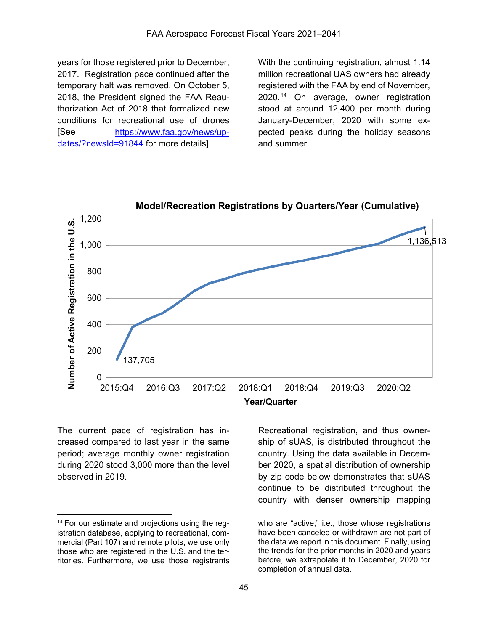years for those registered prior to December, 2017. Registration pace continued after the temporary halt was removed. On October 5, 2018, the President signed the FAA Reauthorization Act of 2018 that formalized new conditions for recreational use of drones [See [https://www.faa.gov/news/up](https://www.faa.gov/news/updates/?newsId=91844)[dates/?newsId=91844](https://www.faa.gov/news/updates/?newsId=91844) for more details].

With the continuing registration, almost 1.14 million recreational UAS owners had already registered with the FAA by end of November, 2020.<sup>[14](#page-1-0)</sup> On average, owner registration stood at around 12,400 per month during January-December, 2020 with some expected peaks during the holiday seasons and summer.



**Model/Recreation Registrations by Quarters/Year (Cumulative)**

The current pace of registration has increased compared to last year in the same period; average monthly owner registration during 2020 stood 3,000 more than the level observed in 2019.

 $\overline{a}$ 

Recreational registration, and thus ownership of sUAS, is distributed throughout the country. Using the data available in December 2020, a spatial distribution of ownership by zip code below demonstrates that sUAS continue to be distributed throughout the country with denser ownership mapping

istration database, applying to recreational, com- have been canceled or withdrawn are not part of mercial (Part 107) and remote pilots, we use only the data we report in this document. Finally, using<br>those who are registered in the U.S. and the ter-<br>the trends for the prior months in 2020 and vears those who are registered in the U.S. and the ter-<br>
ritories. Furthermore, we use those registrants before, we extrapolate it to December, 2020 for ritories. Furthermore, we use those registrants

<span id="page-1-0"></span><sup>&</sup>lt;sup>14</sup> For our estimate and projections using the reg-<br>who are "active;" i.e., those whose registrations completion of annual data.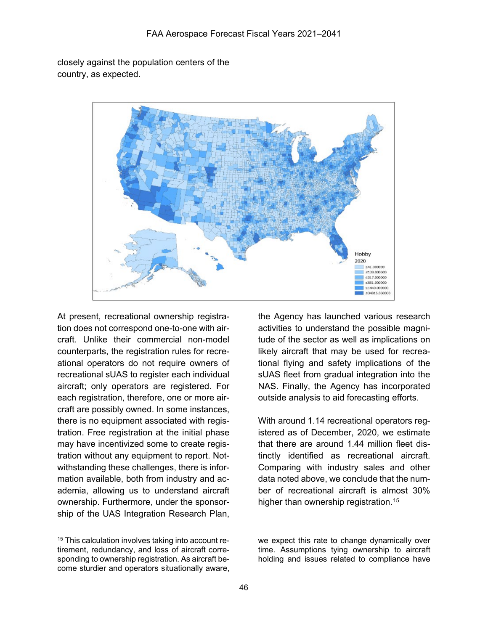closely against the population centers of the country, as expected.



At present, recreational ownership registra- the Agency has launched various research counterparts, the registration rules for recre- likely aircraft that may be used for recreaeach registration, therefore, one or more air- outside analysis to aid forecasting efforts. craft are possibly owned. In some instances, there is no equipment associated with regis- With around 1.14 recreational operators regmay have incentivized some to create regis- that there are around 1.44 million fleet distration without any equipment to report. Not-<br>tinctly identified as recreational aircraft. withstanding these challenges, there is infor- Comparing with industry sales and other mation available, both from industry and ac- data noted above, we conclude that the numademia, allowing us to understand aircraft ber of recreational aircraft is almost 30% ownership. Furthermore, under the sponsor-<br>higher than ownership registration.<sup>[15](#page-2-0)</sup> ship of the UAS Integration Research Plan,

 $\overline{a}$ 

tion does not correspond one-to-one with air- activities to understand the possible magnicraft. Unlike their commercial non-model tude of the sector as well as implications on ational operators do not require owners of tional flying and safety implications of the recreational sUAS to register each individual sUAS fleet from gradual integration into the aircraft; only operators are registered. For NAS. Finally, the Agency has incorporated

tration. Free registration at the initial phase istered as of December, 2020, we estimate

come sturdier and operators situationally aware,

<span id="page-2-0"></span><sup>&</sup>lt;sup>15</sup> This calculation involves taking into account re-<br>tirement, redundancy, and loss of aircraft corre-<br>time. Assumptions tying ownership to aircraft tirement, redundancy, and loss of aircraft corre-<br>sponding to ownership registration. As aircraft be-<br>holding and issues related to compliance have holding and issues related to compliance have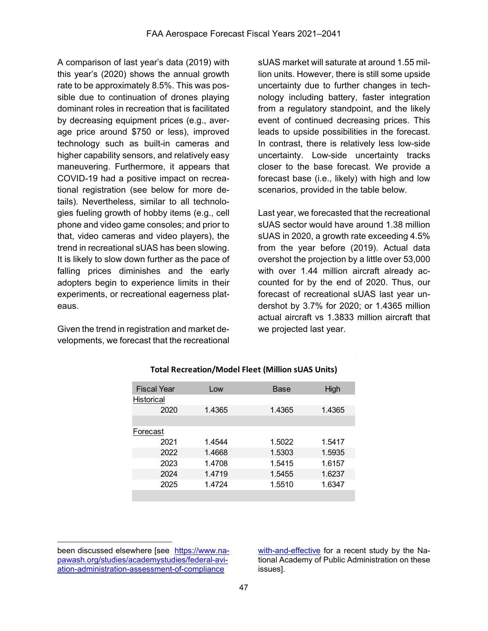A comparison of last year's data (2019) with this year's (2020) shows the annual growth rate to be approximately 8.5%. This was possible due to continuation of drones playing dominant roles in recreation that is facilitated by decreasing equipment prices (e.g., average price around \$750 or less), improved technology such as built-in cameras and higher capability sensors, and relatively easy maneuvering. Furthermore, it appears that COVID-19 had a positive impact on recreational registration (see below for more details). Nevertheless, similar to all technologies fueling growth of hobby items (e.g., cell phone and video game consoles; and prior to that, video cameras and video players), the trend in recreational sUAS has been slowing. It is likely to slow down further as the pace of falling prices diminishes and the early adopters begin to experience limits in their experiments, or recreational eagerness plateaus.

Given the trend in registration and market developments, we forecast that the recreational sUAS market will saturate at around 1.55 million units. However, there is still some upside uncertainty due to further changes in technology including battery, faster integration from a regulatory standpoint, and the likely event of continued decreasing prices. This leads to upside possibilities in the forecast. In contrast, there is relatively less low-side uncertainty. Low-side uncertainty tracks closer to the base forecast. We provide a forecast base (i.e., likely) with high and low scenarios, provided in the table below.

Last year, we forecasted that the recreational sUAS sector would have around 1.38 million sUAS in 2020, a growth rate exceeding 4.5% from the year before (2019). Actual data overshot the projection by a little over 53,000 with over 1.44 million aircraft already accounted for by the end of 2020. Thus, our forecast of recreational sUAS last year undershot by 3.7% for 2020; or 1.4365 million actual aircraft vs 1.3833 million aircraft that we projected last year.

| <b>Fiscal Year</b> | Low    | Base   | High   |  |  |
|--------------------|--------|--------|--------|--|--|
| <b>Historical</b>  |        |        |        |  |  |
| 2020               | 1.4365 | 1.4365 | 1.4365 |  |  |
|                    |        |        |        |  |  |
| Forecast           |        |        |        |  |  |
| 2021               | 1.4544 | 1.5022 | 1.5417 |  |  |
| 2022               | 1.4668 | 1.5303 | 1.5935 |  |  |
| 2023               | 1.4708 | 1.5415 | 1.6157 |  |  |
| 2024               | 1.4719 | 1.5455 | 1.6237 |  |  |
| 2025               | 1.4724 | 1.5510 | 1.6347 |  |  |
|                    |        |        |        |  |  |

#### **Total Recreation/Model Fleet (Million sUAS Units)**

[with-and-effective](https://www.napawash.org/studies/academystudies/federal-aviation-administration-assessment-of-compliance%20with-and-effective) for a recent study by the National Academy of Public Administration on these issues].

 $\overline{a}$ been discussed elsewhere [see [https://www.na](https://www.napawash.org/studies/academystudies/federal-aviation-administration-assessment-of-compliance%20with-and-effective)[pawash.org/studies/academystudies/federal-avi](https://www.napawash.org/studies/academystudies/federal-aviation-administration-assessment-of-compliance%20with-and-effective)[ation-administration-assessment-of-compliance](https://www.napawash.org/studies/academystudies/federal-aviation-administration-assessment-of-compliance%20with-and-effective)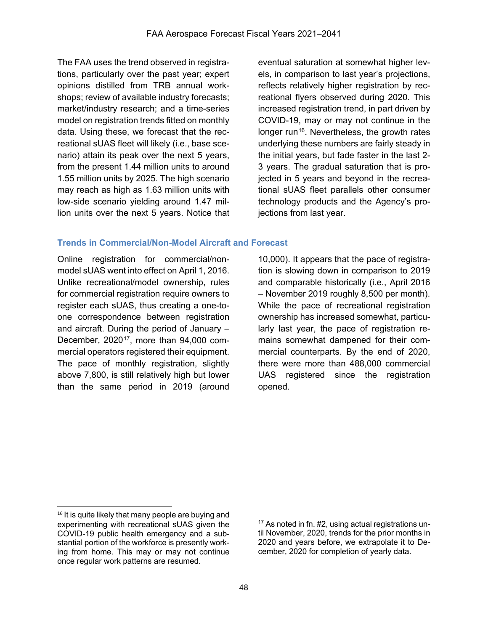The FAA uses the trend observed in registrations, particularly over the past year; expert opinions distilled from TRB annual workshops; review of available industry forecasts; market/industry research; and a time-series model on registration trends fitted on monthly data. Using these, we forecast that the recreational sUAS fleet will likely (i.e., base scenario) attain its peak over the next 5 years, from the present 1.44 million units to around 1.55 million units by 2025. The high scenario may reach as high as 1.63 million units with low-side scenario yielding around 1.47 million units over the next 5 years. Notice that

eventual saturation at somewhat higher levels, in comparison to last year's projections, reflects relatively higher registration by recreational flyers observed during 2020. This increased registration trend, in part driven by COVID-19, may or may not continue in the longer run<sup>[16](#page-4-0)</sup>. Nevertheless, the growth rates underlying these numbers are fairly steady in the initial years, but fade faster in the last 2- 3 years. The gradual saturation that is projected in 5 years and beyond in the recreational sUAS fleet parallels other consumer technology products and the Agency's projections from last year.

# **Trends in Commercial/Non-Model Aircraft and Forecast**

Online registration for commercial/nonmodel sUAS went into effect on April 1, 2016. Unlike recreational/model ownership, rules for commercial registration require owners to register each sUAS, thus creating a one-toone correspondence between registration and aircraft. During the period of January – December, 2020[17,](#page-4-1) more than 94,000 commercial operators registered their equipment. The pace of monthly registration, slightly above 7,800, is still relatively high but lower than the same period in 2019 (around

10,000). It appears that the pace of registration is slowing down in comparison to 2019 and comparable historically (i.e., April 2016 – November 2019 roughly 8,500 per month). While the pace of recreational registration ownership has increased somewhat, particularly last year, the pace of registration remains somewhat dampened for their commercial counterparts. By the end of 2020, there were more than 488,000 commercial UAS registered since the registration opened.

 $\ddot{\phantom{a}}$ 

<span id="page-4-1"></span><span id="page-4-0"></span><sup>&</sup>lt;sup>16</sup> It is quite likely that many people are buying and experimenting with recreational sUAS given the COVID-19 public health emergency and a substantial portion of the workforce is presently working from home. This may or may not continue once regular work patterns are resumed.

<sup>17</sup> As noted in fn. #2, using actual registrations until November, 2020, trends for the prior months in 2020 and years before, we extrapolate it to December, 2020 for completion of yearly data.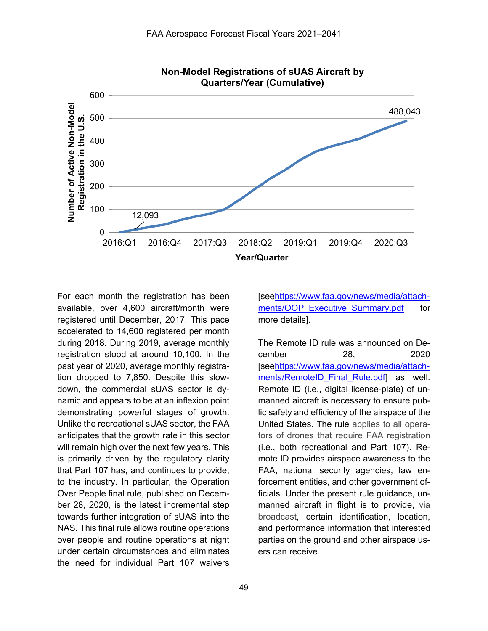

For each month the registration has been available, over 4,600 aircraft/month were registered until December, 2017. This pace accelerated to 14,600 registered per month during 2018. During 2019, average monthly registration stood at around 10,100. In the past year of 2020, average monthly registration dropped to 7,850. Despite this slowdown, the commercial sUAS sector is dynamic and appears to be at an inflexion point demonstrating powerful stages of growth. Unlike the recreational sUAS sector, the FAA anticipates that the growth rate in this sector will remain high over the next few years. This is primarily driven by the regulatory clarity that Part 107 has, and continues to provide, to the industry. In particular, the Operation Over People final rule, published on December 28, 2020, is the latest incremental step towards further integration of sUAS into the NAS. This final rule allows routine operations over people and routine operations at night under certain circumstances and eliminates the need for individual Part 107 waivers

[se[ehttps://www.faa.gov/news/media/attach](https://www.faa.gov/news/media/attachments/OOP_Executive_Summary.pdf)ments/OOP Executive Summary.pdf for more details].

The Remote ID rule was announced on December 28, 2020 [se[ehttps://www.faa.gov/news/media/attach](https://www.faa.gov/news/media/attachments/RemoteID_Final_Rule.pdf)ments/RemoteID Final Rule.pdf as well. Remote ID (i.e., digital license-plate) of unmanned aircraft is necessary to ensure public safety and efficiency of the airspace of the United States. The rule applies to all operators of drones that require FAA registration (i.e., both recreational and Part 107). Remote ID provides airspace awareness to the FAA, national security agencies, law enforcement entities, and other government officials. Under the present rule guidance, unmanned aircraft in flight is to provide, via broadcast, certain identification, location, and performance information that interested parties on the ground and other airspace users can receive.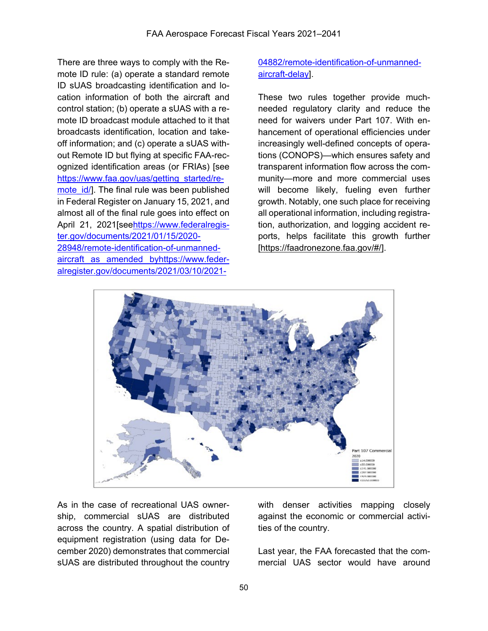There are three ways to comply with the Remote ID rule: (a) operate a standard remote ID sUAS broadcasting identification and location information of both the aircraft and control station; (b) operate a sUAS with a remote ID broadcast module attached to it that broadcasts identification, location and takeoff information; and (c) operate a sUAS without Remote ID but flying at specific FAA-recognized identification areas (or FRIAs) [see [https://www.faa.gov/uas/getting\\_started/re](https://www.faa.gov/uas/getting_started/remote_id/)mote id/]. The final rule was been published in Federal Register on January 15, 2021, and almost all of the final rule goes into effect on April 21, 2021[se[ehttps://www.federalregis](https://www.federalregister.gov/documents/2021/01/15/2020-28948/remote-identification-of-unmanned-aircraft)[ter.gov/documents/2021/01/15/2020-](https://www.federalregister.gov/documents/2021/01/15/2020-28948/remote-identification-of-unmanned-aircraft) [28948/remote-identification-of-unmanned](https://www.federalregister.gov/documents/2021/01/15/2020-28948/remote-identification-of-unmanned-aircraft)[aircraft](https://www.federalregister.gov/documents/2021/01/15/2020-28948/remote-identification-of-unmanned-aircraft) as amended byhttps://www.federalregister.gov/documents/2021/03/10/2021-

# 04882/remote-identification-of-unmannedaircraft-delay].

These two rules together provide muchneeded regulatory clarity and reduce the need for waivers under Part 107. With enhancement of operational efficiencies under increasingly well-defined concepts of operations (CONOPS)—which ensures safety and transparent information flow across the community—more and more commercial uses will become likely, fueling even further growth. Notably, one such place for receiving all operational information, including registration, authorization, and logging accident reports, helps facilitate this growth further [\[https://faadronezone.faa.gov/#/\]](https://faadronezone.faa.gov/).



As in the case of recreational UAS ownership, commercial sUAS are distributed across the country. A spatial distribution of equipment registration (using data for December 2020) demonstrates that commercial sUAS are distributed throughout the country

with denser activities mapping closely against the economic or commercial activities of the country.

Last year, the FAA forecasted that the commercial UAS sector would have around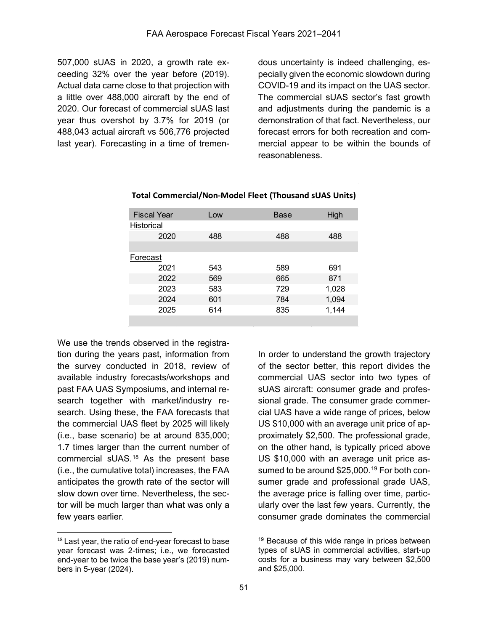507,000 sUAS in 2020, a growth rate exceeding 32% over the year before (2019). Actual data came close to that projection with a little over 488,000 aircraft by the end of 2020. Our forecast of commercial sUAS last year thus overshot by 3.7% for 2019 (or 488,043 actual aircraft vs 506,776 projected last year). Forecasting in a time of tremendous uncertainty is indeed challenging, especially given the economic slowdown during COVID-19 and its impact on the UAS sector. The commercial sUAS sector's fast growth and adjustments during the pandemic is a demonstration of that fact. Nevertheless, our forecast errors for both recreation and commercial appear to be within the bounds of reasonableness.

| <b>Fiscal Year</b> | Low | Base | High  |  |  |
|--------------------|-----|------|-------|--|--|
| <b>Historical</b>  |     |      |       |  |  |
| 2020               | 488 | 488  | 488   |  |  |
|                    |     |      |       |  |  |
| Forecast           |     |      |       |  |  |
| 2021               | 543 | 589  | 691   |  |  |
| 2022               | 569 | 665  | 871   |  |  |
| 2023               | 583 | 729  | 1,028 |  |  |
| 2024               | 601 | 784  | 1,094 |  |  |
| 2025               | 614 | 835  | 1,144 |  |  |
|                    |     |      |       |  |  |

#### **Total Commercial/Non-Model Fleet (Thousand sUAS Units)**

We use the trends observed in the registration during the years past, information from the survey conducted in 2018, review of available industry forecasts/workshops and past FAA UAS Symposiums, and internal research together with market/industry research. Using these, the FAA forecasts that the commercial UAS fleet by 2025 will likely (i.e., base scenario) be at around 835,000; 1.7 times larger than the current number of commercial sUAS.[18](#page-7-0) As the present base (i.e., the cumulative total) increases, the FAA anticipates the growth rate of the sector will slow down over time. Nevertheless, the sector will be much larger than what was only a few years earlier.

 $\ddot{ }$ 

In order to understand the growth trajectory of the sector better, this report divides the commercial UAS sector into two types of sUAS aircraft: consumer grade and professional grade. The consumer grade commercial UAS have a wide range of prices, below US \$10,000 with an average unit price of approximately \$2,500. The professional grade, on the other hand, is typically priced above US \$10,000 with an average unit price as-sumed to be around \$25,000.<sup>[19](#page-7-0)</sup> For both consumer grade and professional grade UAS, the average price is falling over time, particularly over the last few years. Currently, the consumer grade dominates the commercial

<span id="page-7-0"></span><sup>&</sup>lt;sup>18</sup> Last year, the ratio of end-year forecast to base year forecast was 2-times; i.e., we forecasted end-year to be twice the base year's (2019) numbers in 5-year (2024).

<sup>&</sup>lt;sup>19</sup> Because of this wide range in prices between types of sUAS in commercial activities, start-up costs for a business may vary between \$2,500 and \$25,000.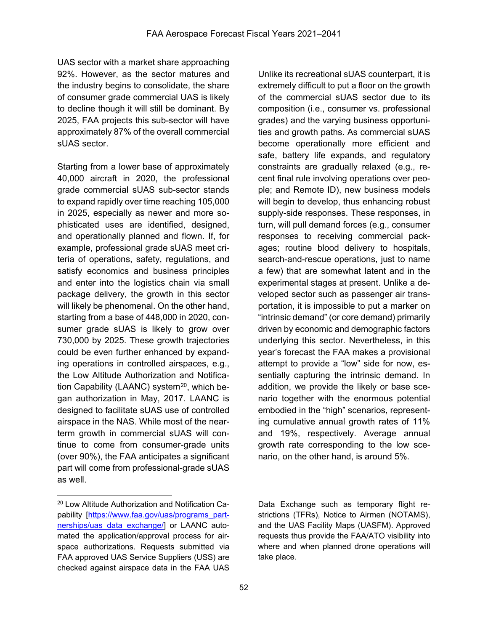UAS sector with a market share approaching 92%. However, as the sector matures and the industry begins to consolidate, the share of consumer grade commercial UAS is likely to decline though it will still be dominant. By 2025, FAA projects this sub-sector will have approximately 87% of the overall commercial sUAS sector.

Starting from a lower base of approximately 40,000 aircraft in 2020, the professional grade commercial sUAS sub-sector stands to expand rapidly over time reaching 105,000 in 2025, especially as newer and more sophisticated uses are identified, designed, and operationally planned and flown. If, for example, professional grade sUAS meet criteria of operations, safety, regulations, and satisfy economics and business principles and enter into the logistics chain via small package delivery, the growth in this sector will likely be phenomenal. On the other hand, starting from a base of 448,000 in 2020, consumer grade sUAS is likely to grow over 730,000 by 2025. These growth trajectories could be even further enhanced by expanding operations in controlled airspaces, e.g., the Low Altitude Authorization and Notification Capability (LAANC) system<sup>20</sup>, which began authorization in May, 2017. LAANC is designed to facilitate sUAS use of controlled airspace in the NAS. While most of the nearterm growth in commercial sUAS will continue to come from consumer-grade units (over 90%), the FAA anticipates a significant part will come from professional-grade sUAS as well.

Unlike its recreational sUAS counterpart, it is extremely difficult to put a floor on the growth of the commercial sUAS sector due to its composition (i.e., consumer vs. professional grades) and the varying business opportunities and growth paths. As commercial sUAS become operationally more efficient and safe, battery life expands, and regulatory constraints are gradually relaxed (e.g., recent final rule involving operations over people; and Remote ID), new business models will begin to develop, thus enhancing robust supply-side responses. These responses, in turn, will pull demand forces (e.g., consumer responses to receiving commercial packages; routine blood delivery to hospitals, search-and-rescue operations, just to name a few) that are somewhat latent and in the experimental stages at present. Unlike a developed sector such as passenger air transportation, it is impossible to put a marker on "intrinsic demand" (or core demand) primarily driven by economic and demographic factors underlying this sector. Nevertheless, in this year's forecast the FAA makes a provisional attempt to provide a "low" side for now, essentially capturing the intrinsic demand. In addition, we provide the likely or base scenario together with the enormous potential embodied in the "high" scenarios, representing cumulative annual growth rates of 11% and 19%, respectively. Average annual growth rate corresponding to the low scenario, on the other hand, is around 5%.

<span id="page-8-0"></span> $\overline{a}$  $^{20}$  Low Altitude Authorization and Notification Ca-  $\hskip10mm$  Data Exchange such as temporary flight re-pability [\[https://www.faa.gov/uas/programs\\_part-](https://www.faa.gov/uas/programs_partnerships/uas_data_exchange/) strictions (TFRs), Notice to Airmen (NOTAMS), nerships/uas data exchange/] or LAANC auto- and the UAS Facility Maps (UASFM). Approved mated the application/approval process for air- requests thus provide the FAA/ATO visibility into space authorizations. Requests submitted via where and when planned drone operations will FAA approved UAS Service Suppliers (USS) are take place. checked against airspace data in the FAA UAS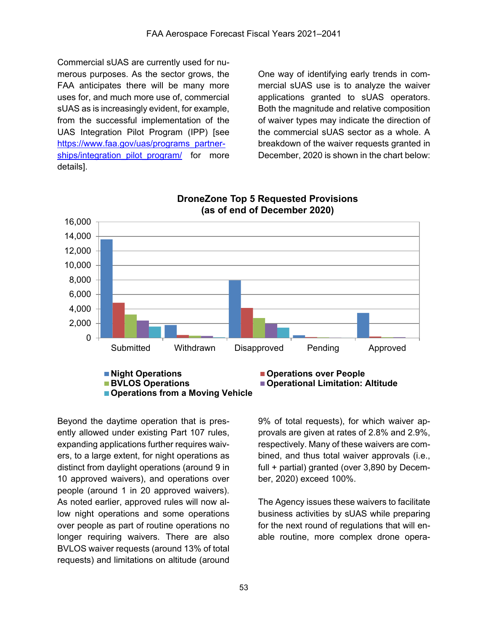Commercial sUAS are currently used for numerous purposes. As the sector grows, the FAA anticipates there will be many more uses for, and much more use of, commercial sUAS as is increasingly evident, for example, from the successful implementation of the UAS Integration Pilot Program (IPP) [see [https://www.faa.gov/uas/programs\\_partner](https://www.faa.gov/uas/programs_partnerships/integration_pilot_program/)[ships/integration\\_pilot\\_program/](https://www.faa.gov/uas/programs_partnerships/integration_pilot_program/) for more details].

One way of identifying early trends in commercial sUAS use is to analyze the waiver applications granted to sUAS operators. Both the magnitude and relative composition of waiver types may indicate the direction of the commercial sUAS sector as a whole. A breakdown of the waiver requests granted in December, 2020 is shown in the chart below:



### **DroneZone Top 5 Requested Provisions (as of end of December 2020)**

Beyond the daytime operation that is presently allowed under existing Part 107 rules, expanding applications further requires waivers, to a large extent, for night operations as distinct from daylight operations (around 9 in 10 approved waivers), and operations over people (around 1 in 20 approved waivers). As noted earlier, approved rules will now allow night operations and some operations over people as part of routine operations no longer requiring waivers. There are also BVLOS waiver requests (around 13% of total requests) and limitations on altitude (around

9% of total requests), for which waiver approvals are given at rates of 2.8% and 2.9%, respectively. Many of these waivers are combined, and thus total waiver approvals (i.e., full + partial) granted (over 3,890 by December, 2020) exceed 100%.

The Agency issues these waivers to facilitate business activities by sUAS while preparing for the next round of regulations that will enable routine, more complex drone opera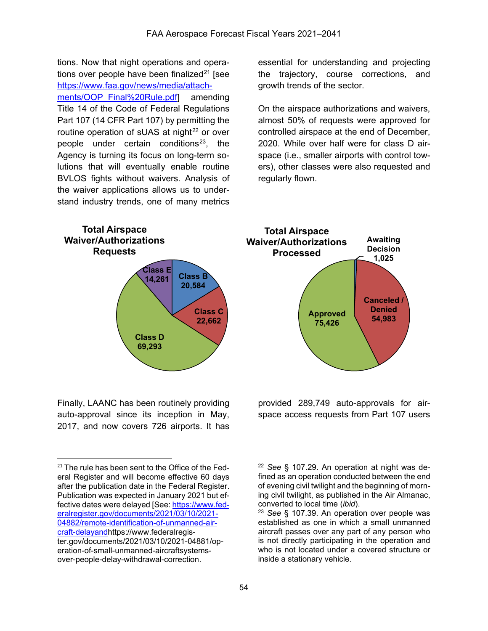tions. Now that night operations and operations over people have been finalized $21$  [see [https://www.faa.gov/news/media/attach](https://www.faa.gov/news/media/attachments/OOP_Final%20Rule.pdf)ments/OOP\_Final%20Rule.pdfl amending Title 14 of the Code of Federal Regulations Part 107 (14 CFR Part 107) by permitting the routine operation of sUAS at night<sup>[22](#page-10-0)</sup> or over people under certain conditions<sup>[23](#page-10-1)</sup>, the Agency is turning its focus on long-term solutions that will eventually enable routine BVLOS fights without waivers. Analysis of the waiver applications allows us to understand industry trends, one of many metrics

essential for understanding and projecting the trajectory, course corrections, and growth trends of the sector.

On the airspace authorizations and waivers, almost 50% of requests were approved for controlled airspace at the end of December, 2020. While over half were for class D airspace (i.e., smaller airports with control towers), other classes were also requested and regularly flown.



Finally, LAANC has been routinely providing auto-approval since its inception in May, 2017, and now covers 726 airports. It has

 $\overline{a}$ 

<sup>22</sup> *See* § 107.29. An operation at night was defined as an operation conducted between the end of evening civil twilight and the beginning of morning civil twilight, as published in the Air Almanac, converted to local time (*ibid*).

provided 289,749 auto-approvals for airspace access requests from Part 107 users

<sup>23</sup> *See* § 107.39. An operation over people was established as one in which a small unmanned aircraft passes over any part of any person who is not directly participating in the operation and who is not located under a covered structure or inside a stationary vehicle.

<span id="page-10-1"></span><span id="page-10-0"></span><sup>&</sup>lt;sup>21</sup> The rule has been sent to the Office of the Federal Register and will become effective 60 days after the publication date in the Federal Register. Publication was expected in January 2021 but effective dates were delayed [See[: https://www.fed](https://www.federalregister.gov/documents/2021/03/10/2021-04882/remote-identification-of-unmanned-aircraft-delayand)[eralregister.gov/documents/2021/03/10/2021-](https://www.federalregister.gov/documents/2021/03/10/2021-04882/remote-identification-of-unmanned-aircraft-delayand) [04882/remote-identification-of-unmanned-air](https://www.federalregister.gov/documents/2021/03/10/2021-04882/remote-identification-of-unmanned-aircraft-delayand)[craft-delayandh](https://www.federalregister.gov/documents/2021/03/10/2021-04882/remote-identification-of-unmanned-aircraft-delayand)ttps://www.federalregister.gov/documents/2021/03/10/2021-04881/operation-of-small-unmanned-aircraftsystemsover-people-delay-withdrawal-correction.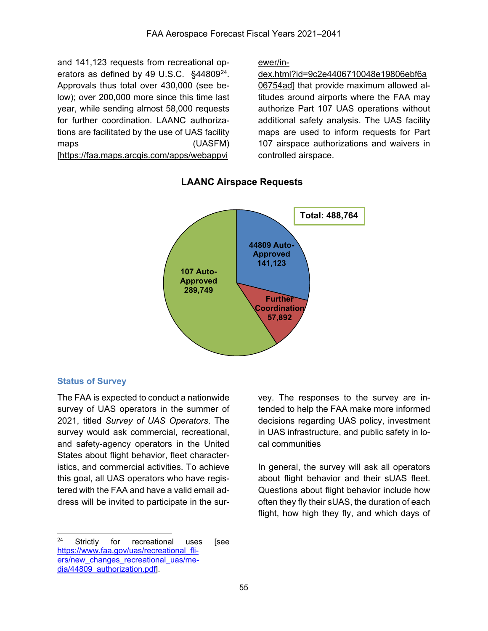and 141,123 requests from recreational operators as defined by 49 U.S.C. §44809<sup>24</sup>. Approvals thus total over 430,000 (see below); over 200,000 more since this time last year, while sending almost 58,000 requests for further coordination. LAANC authorizations are facilitated by the use of UAS facility maps (UASFM) [\[https://faa.maps.arcgis.com/apps/webappvi](https://faa.maps.arcgis.com/apps/webappviewer/index.html?id=9c2e4406710048e19806ebf6a06754ad)

[ewer/in-](https://faa.maps.arcgis.com/apps/webappviewer/index.html?id=9c2e4406710048e19806ebf6a06754ad)

[dex.html?id=9c2e4406710048e19806ebf6a](https://faa.maps.arcgis.com/apps/webappviewer/index.html?id=9c2e4406710048e19806ebf6a06754ad) [06754ad\]](https://faa.maps.arcgis.com/apps/webappviewer/index.html?id=9c2e4406710048e19806ebf6a06754ad) that provide maximum allowed altitudes around airports where the FAA may authorize Part 107 UAS operations without additional safety analysis. The UAS facility maps are used to inform requests for Part 107 airspace authorizations and waivers in controlled airspace.



# **LAANC Airspace Requests**

## **Status of Survey**

The FAA is expected to conduct a nationwide survey of UAS operators in the summer of 2021, titled *Survey of UAS Operators*. The survey would ask commercial, recreational, and safety-agency operators in the United States about flight behavior, fleet characteristics, and commercial activities. To achieve this goal, all UAS operators who have registered with the FAA and have a valid email address will be invited to participate in the sur-

vey. The responses to the survey are intended to help the FAA make more informed decisions regarding UAS policy, investment in UAS infrastructure, and public safety in local communities

In general, the survey will ask all operators about flight behavior and their sUAS fleet. Questions about flight behavior include how often they fly their sUAS, the duration of each flight, how high they fly, and which days of

<span id="page-11-0"></span> $\overline{a}$ <sup>24</sup> Strictly for recreational uses [see [https://www.faa.gov/uas/recreational\\_fli](https://www.faa.gov/uas/recreational_fliers/new_changes_recreational_uas/media/44809_authorization.pdf)ers/new changes recreational uas/me[dia/44809\\_authorization.pdf\]](https://www.faa.gov/uas/recreational_fliers/new_changes_recreational_uas/media/44809_authorization.pdf).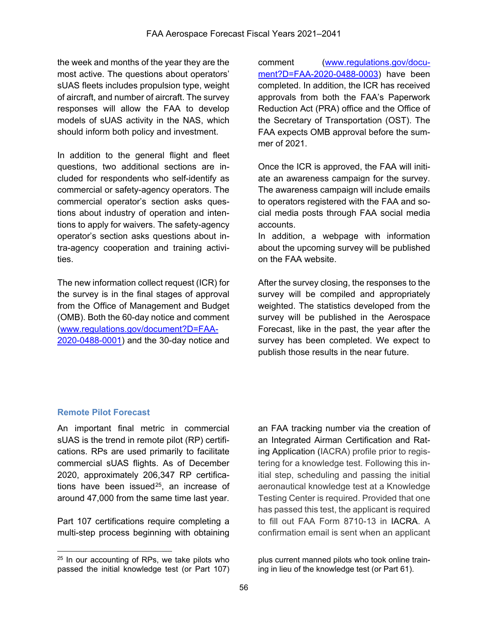the week and months of the year they are the most active. The questions about operators' sUAS fleets includes propulsion type, weight of aircraft, and number of aircraft. The survey responses will allow the FAA to develop models of sUAS activity in the NAS, which should inform both policy and investment.

In addition to the general flight and fleet questions, two additional sections are included for respondents who self-identify as commercial or safety-agency operators. The commercial operator's section asks questions about industry of operation and intentions to apply for waivers. The safety-agency operator's section asks questions about intra-agency cooperation and training activities.

The new information collect request (ICR) for the survey is in the final stages of approval from the Office of Management and Budget (OMB). Both the 60-day notice and comment [\(www.regulations.gov/document?D=FAA-](http://www.regulations.gov/document?D=FAA-2020-0488-0001)[2020-0488-0001\)](http://www.regulations.gov/document?D=FAA-2020-0488-0001) and the 30-day notice and

comment [\(www.regulations.gov/docu](http://www.regulations.gov/document?D=FAA-2020-0488-0003)[ment?D=FAA-2020-0488-0003\)](http://www.regulations.gov/document?D=FAA-2020-0488-0003) have been completed. In addition, the ICR has received approvals from both the FAA's Paperwork Reduction Act (PRA) office and the Office of the Secretary of Transportation (OST). The FAA expects OMB approval before the summer of 2021.

Once the ICR is approved, the FAA will initiate an awareness campaign for the survey. The awareness campaign will include emails to operators registered with the FAA and social media posts through FAA social media accounts.

In addition, a webpage with information about the upcoming survey will be published on the FAA website.

After the survey closing, the responses to the survey will be compiled and appropriately weighted. The statistics developed from the survey will be published in the Aerospace Forecast, like in the past, the year after the survey has been completed. We expect to publish those results in the near future.

# **Remote Pilot Forecast**

An important final metric in commercial sUAS is the trend in remote pilot (RP) certifications. RPs are used primarily to facilitate commercial sUAS flights. As of December 2020, approximately 206,347 RP certifications have been issued<sup>25</sup>, an increase of around 47,000 from the same time last year.

Part 107 certifications require completing a multi-step process beginning with obtaining an FAA tracking number via the creation of an Integrated Airman Certification and Rating Application (IACRA) profile prior to registering for a knowledge test. Following this initial step, scheduling and passing the initial aeronautical knowledge test at a Knowledge Testing Center is required. Provided that one has passed this test, the applicant is required to fill out FAA Form 8710-13 in IACRA. A confirmation email is sent when an applicant

<span id="page-12-0"></span> $\overline{a}$ <sup>25</sup> In our accounting of RPs, we take pilots who passed the initial knowledge test (or Part 107)

plus current manned pilots who took online training in lieu of the knowledge test (or Part 61).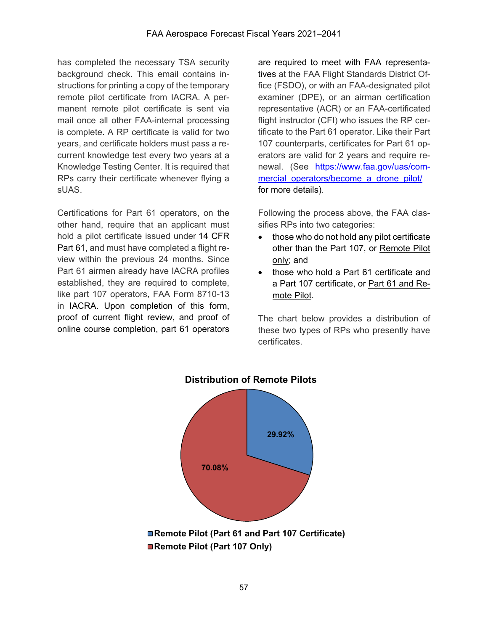has completed the necessary TSA security background check. This email contains instructions for printing a copy of the temporary remote pilot certificate from IACRA. A permanent remote pilot certificate is sent via mail once all other FAA-internal processing is complete. A RP certificate is valid for two years, and certificate holders must pass a recurrent knowledge test every two years at a Knowledge Testing Center. It is required that RPs carry their certificate whenever flying a sUAS.

Certifications for Part 61 operators, on the other hand, require that an applicant must hold a pilot certificate issued under 14 CFR Part 61, and must have completed a flight review within the previous 24 months. Since Part 61 airmen already have IACRA profiles established, they are required to complete, like part 107 operators, FAA Form 8710-13 in IACRA. Upon completion of this form, proof of current flight review, and proof of online course completion, part 61 operators

are required to meet with FAA representatives at the FAA Flight Standards District Office (FSDO), or with an FAA-designated pilot examiner (DPE), or an airman certification representative (ACR) or an FAA-certificated flight instructor (CFI) who issues the RP certificate to the Part 61 operator. Like their Part 107 counterparts, certificates for Part 61 operators are valid for 2 years and require renewal. (See [https://www.faa.gov/uas/com](https://www.faa.gov/uas/commercial_operators/become_a_drone_pilot/)mercial operators/become a drone pilot/ for more details).

Following the process above, the FAA classifies RPs into two categories:

- those who do not hold any pilot certificate other than the Part 107, or Remote Pilot only; and
- those who hold a Part 61 certificate and a Part 107 certificate, or Part 61 and Remote Pilot.

The chart below provides a distribution of these two types of RPs who presently have certificates.



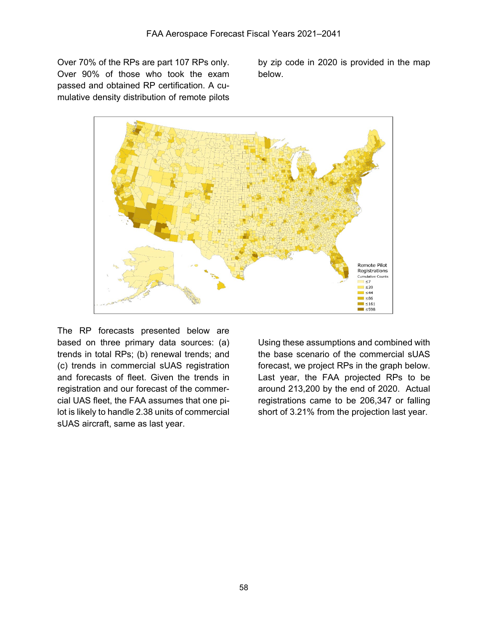Over 70% of the RPs are part 107 RPs only. Over 90% of those who took the exam passed and obtained RP certification. A cumulative density distribution of remote pilots

by zip code in 2020 is provided in the map below.



The RP forecasts presented below are based on three primary data sources: (a) trends in total RPs; (b) renewal trends; and (c) trends in commercial sUAS registration and forecasts of fleet. Given the trends in registration and our forecast of the commercial UAS fleet, the FAA assumes that one pilot is likely to handle 2.38 units of commercial sUAS aircraft, same as last year.

Using these assumptions and combined with the base scenario of the commercial sUAS forecast, we project RPs in the graph below. Last year, the FAA projected RPs to be around 213,200 by the end of 2020. Actual registrations came to be 206,347 or falling short of 3.21% from the projection last year.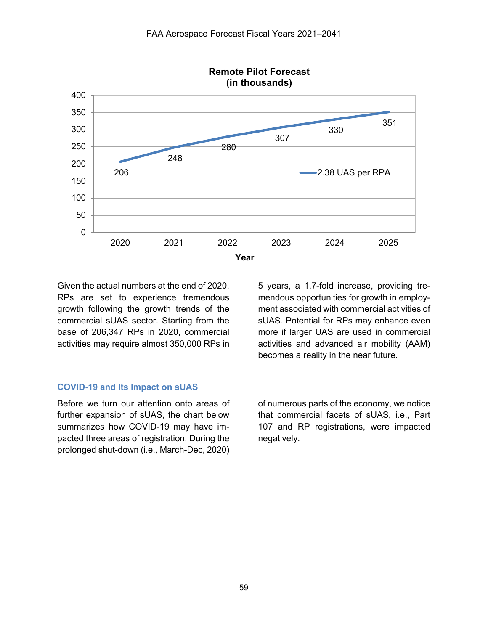

Given the actual numbers at the end of 2020, RPs are set to experience tremendous growth following the growth trends of the commercial sUAS sector. Starting from the base of 206,347 RPs in 2020, commercial activities may require almost 350,000 RPs in 5 years, a 1.7-fold increase, providing tremendous opportunities for growth in employment associated with commercial activities of sUAS. Potential for RPs may enhance even more if larger UAS are used in commercial activities and advanced air mobility (AAM) becomes a reality in the near future.

#### **COVID-19 and Its Impact on sUAS**

Before we turn our attention onto areas of further expansion of sUAS, the chart below summarizes how COVID-19 may have impacted three areas of registration. During the prolonged shut-down (i.e., March-Dec, 2020) of numerous parts of the economy, we notice that commercial facets of sUAS, i.e., Part 107 and RP registrations, were impacted negatively.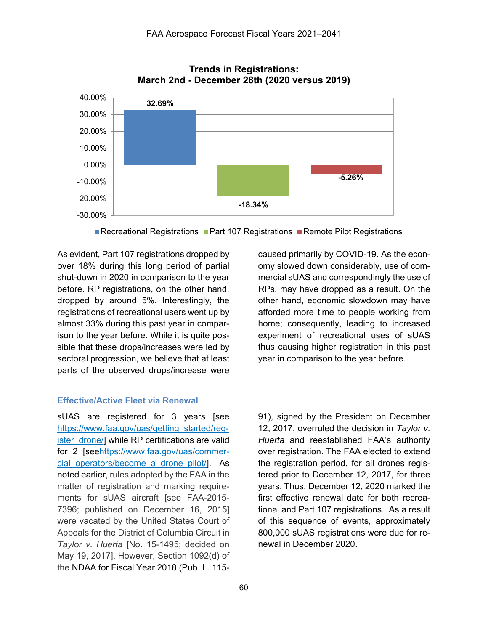

#### **Trends in Registrations: March 2nd - December 28th (2020 versus 2019)**

Recreational Registrations  $\blacksquare$  Part 107 Registrations  $\blacksquare$  Remote Pilot Registrations

As evident, Part 107 registrations dropped by over 18% during this long period of partial shut-down in 2020 in comparison to the year before. RP registrations, on the other hand, dropped by around 5%. Interestingly, the registrations of recreational users went up by almost 33% during this past year in comparison to the year before. While it is quite possible that these drops/increases were led by sectoral progression, we believe that at least parts of the observed drops/increase were

#### **Effective/Active Fleet via Renewal**

sUAS are registered for 3 years [see [https://www.faa.gov/uas/getting\\_started/reg](https://www.faa.gov/uas/getting_started/register_drone/)[ister\\_drone/\]](https://www.faa.gov/uas/getting_started/register_drone/) while RP certifications are valid for 2 [se[ehttps://www.faa.gov/uas/commer](https://www.faa.gov/uas/commercial_operators/become_a_drone_pilot/)cial operators/become a drone pilot/]. As noted earlier, rules adopted by the FAA in the matter of registration and marking requirements for sUAS aircraft [see FAA-2015- 7396; published on December 16, 2015] were vacated by the United States Court of Appeals for the District of Columbia Circuit in *Taylor v. Huerta* [No. 15-1495; decided on May 19, 2017]. However, Section 1092(d) of the NDAA for Fiscal Year 2018 (Pub. L. 115caused primarily by COVID-19. As the economy slowed down considerably, use of commercial sUAS and correspondingly the use of RPs, may have dropped as a result. On the other hand, economic slowdown may have afforded more time to people working from home; consequently, leading to increased experiment of recreational uses of sUAS thus causing higher registration in this past year in comparison to the year before.

91), signed by the President on December 12, 2017, overruled the decision in *Taylor v. Huerta* and reestablished FAA's authority over registration. The FAA elected to extend the registration period, for all drones registered prior to December 12, 2017, for three years. Thus, December 12, 2020 marked the first effective renewal date for both recreational and Part 107 registrations. As a result of this sequence of events, approximately 800,000 sUAS registrations were due for renewal in December 2020.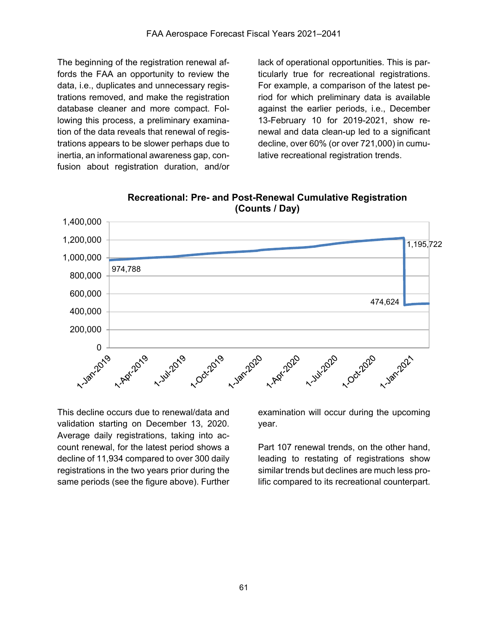The beginning of the registration renewal affords the FAA an opportunity to review the data, i.e., duplicates and unnecessary registrations removed, and make the registration database cleaner and more compact. Following this process, a preliminary examination of the data reveals that renewal of registrations appears to be slower perhaps due to inertia, an informational awareness gap, confusion about registration duration, and/or

lack of operational opportunities. This is particularly true for recreational registrations. For example, a comparison of the latest period for which preliminary data is available against the earlier periods, i.e., December 13-February 10 for 2019-2021, show renewal and data clean-up led to a significant decline, over 60% (or over 721,000) in cumulative recreational registration trends.



**Recreational: Pre- and Post-Renewal Cumulative Registration (Counts / Day)**

This decline occurs due to renewal/data and validation starting on December 13, 2020. Average daily registrations, taking into account renewal, for the latest period shows a decline of 11,934 compared to over 300 daily registrations in the two years prior during the same periods (see the figure above). Further

examination will occur during the upcoming year.

Part 107 renewal trends, on the other hand, leading to restating of registrations show similar trends but declines are much less prolific compared to its recreational counterpart.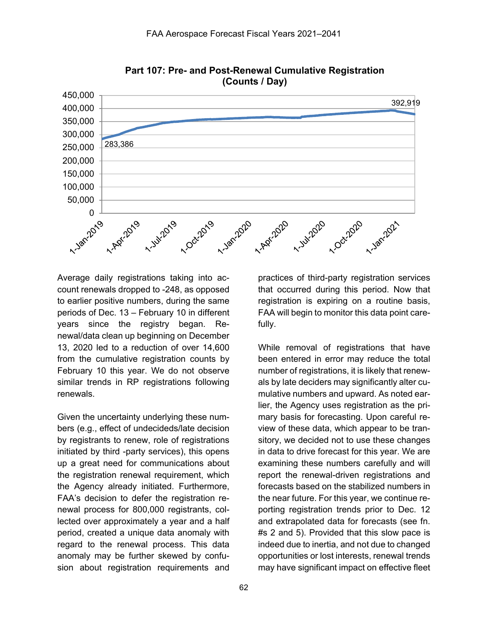

**Part 107: Pre- and Post-Renewal Cumulative Registration (Counts / Day)**

Average daily registrations taking into account renewals dropped to -248, as opposed to earlier positive numbers, during the same periods of Dec. 13 – February 10 in different years since the registry began. Renewal/data clean up beginning on December 13, 2020 led to a reduction of over 14,600 from the cumulative registration counts by February 10 this year. We do not observe similar trends in RP registrations following renewals.

Given the uncertainty underlying these numbers (e.g., effect of undecideds/late decision by registrants to renew, role of registrations initiated by third -party services), this opens up a great need for communications about the registration renewal requirement, which the Agency already initiated. Furthermore, FAA's decision to defer the registration renewal process for 800,000 registrants, collected over approximately a year and a half period, created a unique data anomaly with regard to the renewal process. This data anomaly may be further skewed by confusion about registration requirements and

practices of third-party registration services that occurred during this period. Now that registration is expiring on a routine basis, FAA will begin to monitor this data point carefully.

While removal of registrations that have been entered in error may reduce the total number of registrations, it is likely that renewals by late deciders may significantly alter cumulative numbers and upward. As noted earlier, the Agency uses registration as the primary basis for forecasting. Upon careful review of these data, which appear to be transitory, we decided not to use these changes in data to drive forecast for this year. We are examining these numbers carefully and will report the renewal-driven registrations and forecasts based on the stabilized numbers in the near future. For this year, we continue reporting registration trends prior to Dec. 12 and extrapolated data for forecasts (see fn. #s 2 and 5). Provided that this slow pace is indeed due to inertia, and not due to changed opportunities or lost interests, renewal trends may have significant impact on effective fleet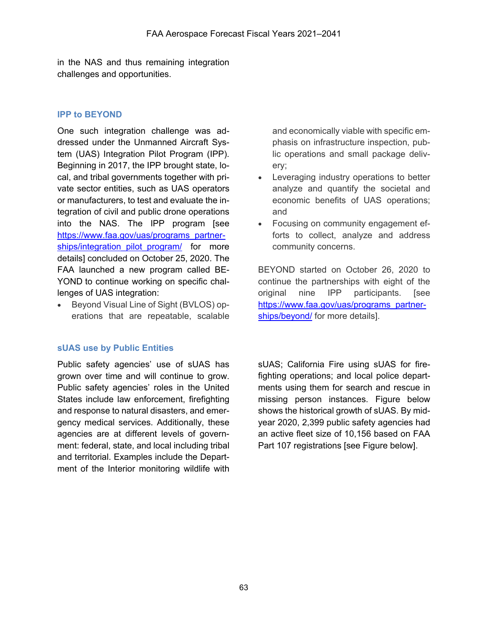in the NAS and thus remaining integration challenges and opportunities.

## **IPP to BEYOND**

One such integration challenge was addressed under the Unmanned Aircraft System (UAS) Integration Pilot Program (IPP). Beginning in 2017, the IPP brought state, local, and tribal governments together with private sector entities, such as UAS operators or manufacturers, to test and evaluate the integration of civil and public drone operations into the NAS. The IPP program [see [https://www.faa.gov/uas/programs\\_partner](https://www.faa.gov/uas/programs_partnerships/integration_pilot_program/)[ships/integration\\_pilot\\_program/](https://www.faa.gov/uas/programs_partnerships/integration_pilot_program/) for more details] concluded on October 25, 2020. The FAA launched a new program called BE-YOND to continue working on specific challenges of UAS integration:

• Beyond Visual Line of Sight (BVLOS) operations that are repeatable, scalable

#### **sUAS use by Public Entities**

Public safety agencies' use of sUAS has grown over time and will continue to grow. Public safety agencies' roles in the United States include law enforcement, firefighting and response to natural disasters, and emergency medical services. Additionally, these agencies are at different levels of government: federal, state, and local including tribal and territorial. Examples include the Department of the Interior monitoring wildlife with

and economically viable with specific emphasis on infrastructure inspection, public operations and small package delivery;

- Leveraging industry operations to better analyze and quantify the societal and economic benefits of UAS operations; and
- Focusing on community engagement efforts to collect, analyze and address community concerns.

BEYOND started on October 26, 2020 to continue the partnerships with eight of the original nine IPP participants. [see [https://www.faa.gov/uas/programs\\_partner](https://www.faa.gov/uas/programs_partnerships/beyond/)[ships/beyond/](https://www.faa.gov/uas/programs_partnerships/beyond/) for more details].

sUAS; California Fire using sUAS for firefighting operations; and local police departments using them for search and rescue in missing person instances. Figure below shows the historical growth of sUAS. By midyear 2020, 2,399 public safety agencies had an active fleet size of 10,156 based on FAA Part 107 registrations [see Figure below].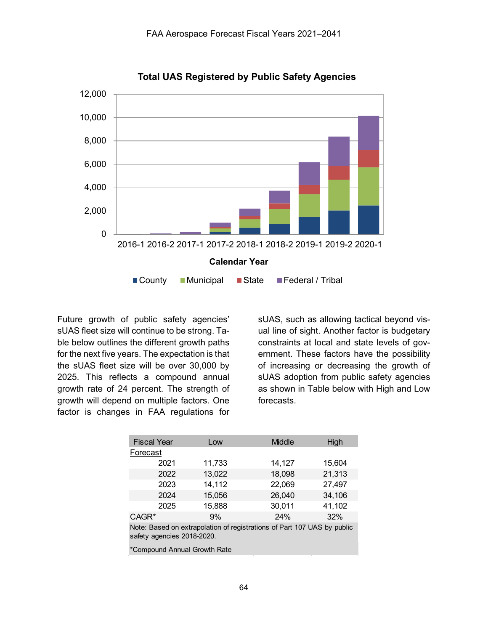

**Total UAS Registered by Public Safety Agencies**

Future growth of public safety agencies' sUAS fleet size will continue to be strong. Table below outlines the different growth paths for the next five years. The expectation is that the sUAS fleet size will be over 30,000 by 2025. This reflects a compound annual growth rate of 24 percent. The strength of growth will depend on multiple factors. One factor is changes in FAA regulations for

sUAS, such as allowing tactical beyond visual line of sight. Another factor is budgetary constraints at local and state levels of government. These factors have the possibility of increasing or decreasing the growth of sUAS adoption from public safety agencies as shown in Table below with High and Low forecasts.

|                                                                                                       | <b>Fiscal Year</b> | Low    | Middle | High   |  |
|-------------------------------------------------------------------------------------------------------|--------------------|--------|--------|--------|--|
| Forecast                                                                                              |                    |        |        |        |  |
|                                                                                                       | 2021               | 11,733 | 14,127 | 15,604 |  |
|                                                                                                       | 2022               | 13,022 | 18,098 | 21,313 |  |
|                                                                                                       | 2023               | 14,112 | 22,069 | 27,497 |  |
|                                                                                                       | 2024               | 15,056 | 26,040 | 34,106 |  |
|                                                                                                       | 2025               | 15,888 | 30,011 | 41,102 |  |
| CAGR <sup>*</sup>                                                                                     |                    | 9%     | 24%    | 32%    |  |
| Note: Based on extrapolation of registrations of Part 107 UAS by public<br>safety agencies 2018-2020. |                    |        |        |        |  |
| *Compound Annual Growth Rate                                                                          |                    |        |        |        |  |
|                                                                                                       |                    |        |        |        |  |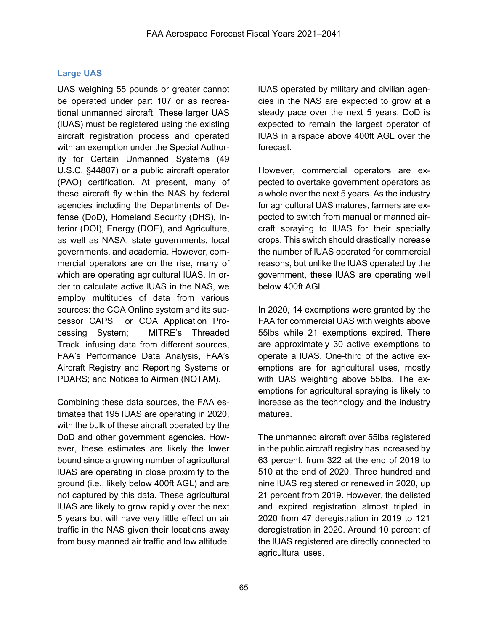# **Large UAS**

UAS weighing 55 pounds or greater cannot be operated under part 107 or as recreational unmanned aircraft. These larger UAS (lUAS) must be registered using the existing aircraft registration process and operated with an exemption under the Special Authority for Certain Unmanned Systems (49 U.S.C. §44807) or a public aircraft operator (PAO) certification. At present, many of these aircraft fly within the NAS by federal agencies including the Departments of Defense (DoD), Homeland Security (DHS), Interior (DOI), Energy (DOE), and Agriculture, as well as NASA, state governments, local governments, and academia. However, commercial operators are on the rise, many of which are operating agricultural lUAS. In order to calculate active lUAS in the NAS, we employ multitudes of data from various sources: the COA Online system and its successor CAPS or COA Application Processing System; MITRE's Threaded Track infusing data from different sources, FAA's Performance Data Analysis, FAA's Aircraft Registry and Reporting Systems or PDARS; and Notices to Airmen (NOTAM).

Combining these data sources, the FAA estimates that 195 lUAS are operating in 2020, with the bulk of these aircraft operated by the DoD and other government agencies. However, these estimates are likely the lower bound since a growing number of agricultural lUAS are operating in close proximity to the ground (i.e., likely below 400ft AGL) and are not captured by this data. These agricultural lUAS are likely to grow rapidly over the next 5 years but will have very little effect on air traffic in the NAS given their locations away from busy manned air traffic and low altitude.

lUAS operated by military and civilian agencies in the NAS are expected to grow at a steady pace over the next 5 years. DoD is expected to remain the largest operator of lUAS in airspace above 400ft AGL over the forecast.

However, commercial operators are expected to overtake government operators as a whole over the next 5 years. As the industry for agricultural UAS matures, farmers are expected to switch from manual or manned aircraft spraying to lUAS for their specialty crops. This switch should drastically increase the number of lUAS operated for commercial reasons, but unlike the lUAS operated by the government, these lUAS are operating well below 400ft AGL.

In 2020, 14 exemptions were granted by the FAA for commercial UAS with weights above 55lbs while 21 exemptions expired. There are approximately 30 active exemptions to operate a lUAS. One-third of the active exemptions are for agricultural uses, mostly with UAS weighting above 55lbs. The exemptions for agricultural spraying is likely to increase as the technology and the industry matures.

The unmanned aircraft over 55lbs registered in the public aircraft registry has increased by 63 percent, from 322 at the end of 2019 to 510 at the end of 2020. Three hundred and nine lUAS registered or renewed in 2020, up 21 percent from 2019. However, the delisted and expired registration almost tripled in 2020 from 47 deregistration in 2019 to 121 deregistration in 2020. Around 10 percent of the lUAS registered are directly connected to agricultural uses.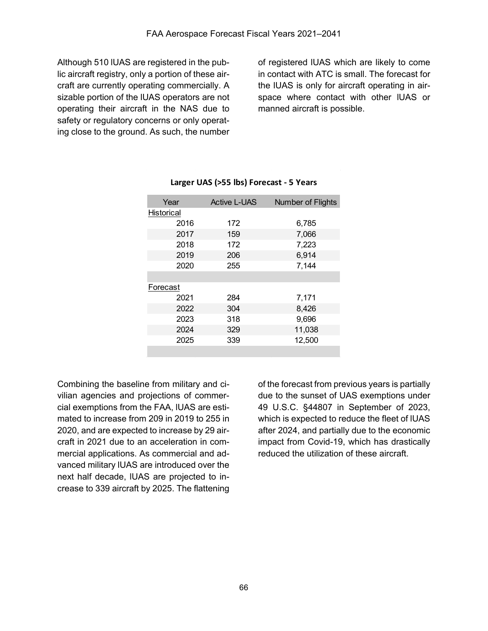Although 510 lUAS are registered in the public aircraft registry, only a portion of these aircraft are currently operating commercially. A sizable portion of the lUAS operators are not operating their aircraft in the NAS due to safety or regulatory concerns or only operating close to the ground. As such, the number

of registered lUAS which are likely to come in contact with ATC is small. The forecast for the lUAS is only for aircraft operating in airspace where contact with other lUAS or manned aircraft is possible.

| Year              | <b>Active L-UAS</b> | Number of Flights |
|-------------------|---------------------|-------------------|
| <b>Historical</b> |                     |                   |
| 2016              | 172                 | 6,785             |
| 2017              | 159                 | 7,066             |
| 2018              | 172                 | 7,223             |
| 2019              | 206                 | 6,914             |
| 2020              | 255                 | 7,144             |
|                   |                     |                   |
| Forecast          |                     |                   |
| 2021              | 284                 | 7,171             |
| 2022              | 304                 | 8,426             |
| 2023              | 318                 | 9,696             |
| 2024              | 329                 | 11,038            |
| 2025              | 339                 | 12,500            |
|                   |                     |                   |

## **Larger UAS (>55 lbs) Forecast - 5 Years**

Combining the baseline from military and civilian agencies and projections of commercial exemptions from the FAA, lUAS are estimated to increase from 209 in 2019 to 255 in 2020, and are expected to increase by 29 aircraft in 2021 due to an acceleration in commercial applications. As commercial and advanced military lUAS are introduced over the next half decade, lUAS are projected to increase to 339 aircraft by 2025. The flattening

of the forecast from previous years is partially due to the sunset of UAS exemptions under 49 U.S.C. §44807 in September of 2023, which is expected to reduce the fleet of lUAS after 2024, and partially due to the economic impact from Covid-19, which has drastically reduced the utilization of these aircraft.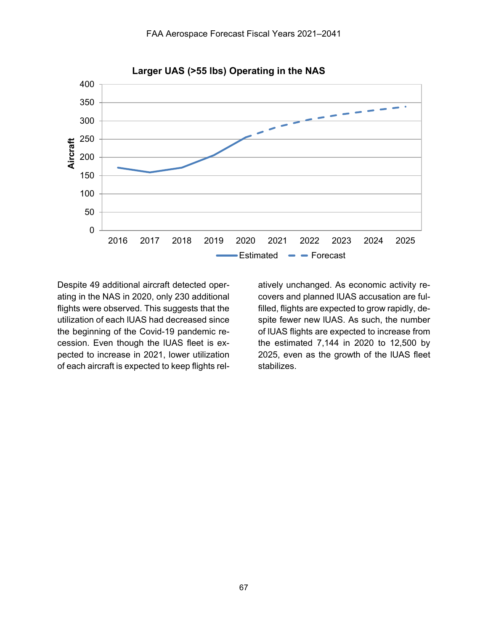

Despite 49 additional aircraft detected operating in the NAS in 2020, only 230 additional flights were observed. This suggests that the utilization of each lUAS had decreased since the beginning of the Covid-19 pandemic recession. Even though the lUAS fleet is expected to increase in 2021, lower utilization of each aircraft is expected to keep flights relatively unchanged. As economic activity recovers and planned lUAS accusation are fulfilled, flights are expected to grow rapidly, despite fewer new lUAS. As such, the number of lUAS flights are expected to increase from the estimated 7,144 in 2020 to 12,500 by 2025, even as the growth of the lUAS fleet stabilizes.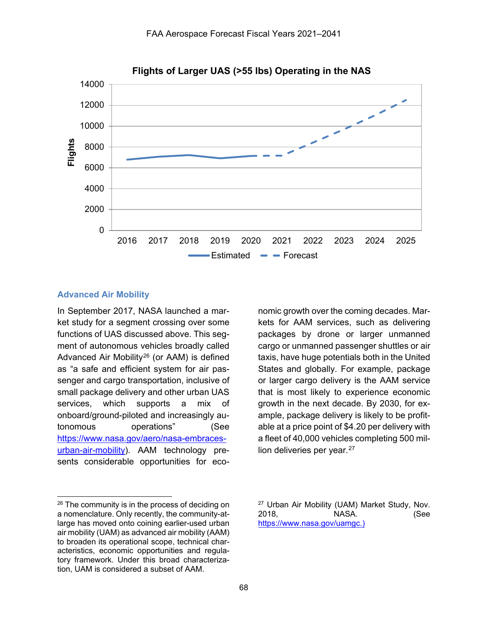

**Flights of Larger UAS (>55 lbs) Operating in the NAS**

## **Advanced Air Mobility**

 $\overline{a}$ 

In September 2017, NASA launched a market study for a segment crossing over some functions of UAS discussed above. This segment of autonomous vehicles broadly called Advanced Air Mobility[26](#page-24-0) (or AAM) is defined as "a safe and efficient system for air passenger and cargo transportation, inclusive of small package delivery and other urban UAS services, which supports a mix of onboard/ground-piloted and increasingly autonomous operations" (See [https://www.nasa.gov/aero/nasa-embraces](https://www.nasa.gov/aero/nasa-embraces-urban-air-mobility)[urban-air-mobility\)](https://www.nasa.gov/aero/nasa-embraces-urban-air-mobility). AAM technology presents considerable opportunities for economic growth over the coming decades. Markets for AAM services, such as delivering packages by drone or larger unmanned cargo or unmanned passenger shuttles or air taxis, have huge potentials both in the United States and globally. For example, package or larger cargo delivery is the AAM service that is most likely to experience economic growth in the next decade. By 2030, for example, package delivery is likely to be profitable at a price point of \$4.20 per delivery with a fleet of 40,000 vehicles completing 500 mil-lion deliveries per year.<sup>[27](#page-24-0)</sup>

<span id="page-24-0"></span> $26$  The community is in the process of deciding on a nomenclature. Only recently, the community-atlarge has moved onto coining earlier-used urban air mobility (UAM) as advanced air mobility (AAM) to broaden its operational scope, technical characteristics, economic opportunities and regulatory framework. Under this broad characterization, UAM is considered a subset of AAM.

<sup>27</sup> Urban Air Mobility (UAM) Market Study, Nov. 2018, NASA. (See [https://www.nasa.gov/uamgc.](https://www.nasa.gov/uamgc))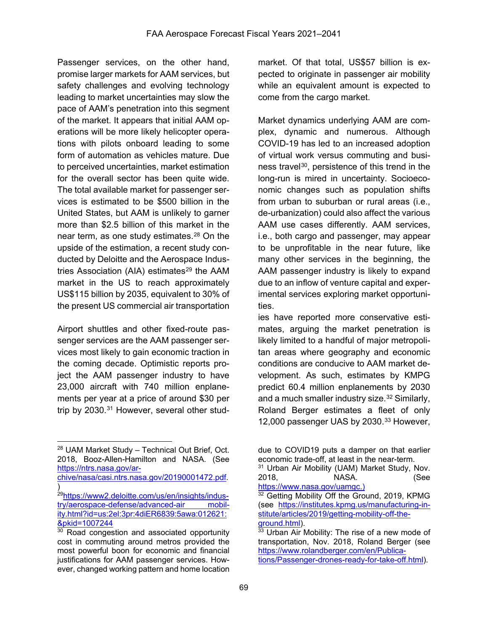Passenger services, on the other hand, promise larger markets for AAM services, but safety challenges and evolving technology leading to market uncertainties may slow the pace of AAM's penetration into this segment of the market. It appears that initial AAM operations will be more likely helicopter operations with pilots onboard leading to some form of automation as vehicles mature. Due to perceived uncertainties, market estimation for the overall sector has been quite wide. The total available market for passenger services is estimated to be \$500 billion in the United States, but AAM is unlikely to garner more than \$2.5 billion of this market in the near term, as one study estimates.[28](#page-25-0) On the upside of the estimation, a recent study conducted by Deloitte and the Aerospace Industries Association (AIA) estimates $29$  the AAM market in the US to reach approximately US\$115 billion by 2035, equivalent to 30% of the present US commercial air transportation

Airport shuttles and other fixed-route passenger services are the AAM passenger services most likely to gain economic traction in the coming decade. Optimistic reports project the AAM passenger industry to have 23,000 aircraft with 740 million enplanements per year at a price of around \$30 per trip by 2030.<sup>[31](#page-25-3)</sup> However, several other stud-

market. Of that total, US\$57 billion is expected to originate in passenger air mobility while an equivalent amount is expected to come from the cargo market.

Market dynamics underlying AAM are complex, dynamic and numerous. Although COVID-19 has led to an increased adoption of virtual work versus commuting and business travel<sup>30</sup>, persistence of this trend in the long-run is mired in uncertainty. Socioeconomic changes such as population shifts from urban to suburban or rural areas (i.e., de-urbanization) could also affect the various AAM use cases differently. AAM services, i.e., both cargo and passenger, may appear to be unprofitable in the near future, like many other services in the beginning, the AAM passenger industry is likely to expand due to an inflow of venture capital and experimental services exploring market opportunities.

ies have reported more conservative estimates, arguing the market penetration is likely limited to a handful of major metropolitan areas where geography and economic conditions are conducive to AAM market development. As such, estimates by KMPG predict 60.4 million enplanements by 2030 and a much smaller industry size.<sup>[32](#page-25-1)</sup> Similarly, Roland Berger estimates a fleet of only 12,000 passenger UAS by 2030.<sup>[33](#page-25-2)</sup> However,

<span id="page-25-0"></span> $\overline{a}$ <sup>28</sup> UAM Market Study – Technical Out Brief, Oct. 2018, Booz-Allen-Hamilton and NASA. (See [https://ntrs.nasa.gov/ar-](https://ntrs.nasa.gov/archive/nasa/casi.ntrs.nasa.gov/20190001472.pdf)

<span id="page-25-3"></span>[chive/nasa/casi.ntrs.nasa.gov/20190001472.pdf.](https://ntrs.nasa.gov/archive/nasa/casi.ntrs.nasa.gov/20190001472.pdf) )

<span id="page-25-1"></span><sup>&</sup>lt;sup>29</sup>https://www2.deloitte.com/us/en/insights/indus[try/aerospace-defense/advanced-air mobil](https://www2.deloitte.com/us/en/insights/industry/aerospace-defense/advanced-air%20mobility.html?id=us:2el:3pr:4diER6839:5awa:012621:&pkid=1007244)[ity.html?id=us:2el:3pr:4diER6839:5awa:012621:](https://www2.deloitte.com/us/en/insights/industry/aerospace-defense/advanced-air%20mobility.html?id=us:2el:3pr:4diER6839:5awa:012621:&pkid=1007244) [&pkid=1007244](https://www2.deloitte.com/us/en/insights/industry/aerospace-defense/advanced-air%20mobility.html?id=us:2el:3pr:4diER6839:5awa:012621:&pkid=1007244)

<span id="page-25-2"></span><sup>&</sup>lt;sup>30</sup> Road congestion and associated opportunity cost in commuting around metros provided the most powerful boon for economic and financial justifications for AAM passenger services. However, changed working pattern and home location

due to COVID19 puts a damper on that earlier economic trade-off, at least in the near-term.

<sup>&</sup>lt;sup>31</sup> Urban Air Mobility (UAM) Market Study, Nov. 2018, NASA. (See [https://www.nasa.gov/uamgc.](https://www.nasa.gov/uamgc))

<sup>&</sup>lt;sup>32</sup> Getting Mobility Off the Ground, 2019, KPMG (see [https://institutes.kpmg.us/manufacturing-in](https://institutes.kpmg.us/manufacturing-institute/articles/2019/getting-mobility-off-the-ground.html)[stitute/articles/2019/getting-mobility-off-the](https://institutes.kpmg.us/manufacturing-institute/articles/2019/getting-mobility-off-the-ground.html)[ground.html\)](https://institutes.kpmg.us/manufacturing-institute/articles/2019/getting-mobility-off-the-ground.html).

<sup>&</sup>lt;sup>33</sup> Urban Air Mobility: The rise of a new mode of transportation, Nov. 2018, Roland Berger (see [https://www.rolandberger.com/en/Publica](https://www.rolandberger.com/en/Publications/Passenger-drones-ready-for-take-off.html)[tions/Passenger-drones-ready-for-take-off.html\)](https://www.rolandberger.com/en/Publications/Passenger-drones-ready-for-take-off.html).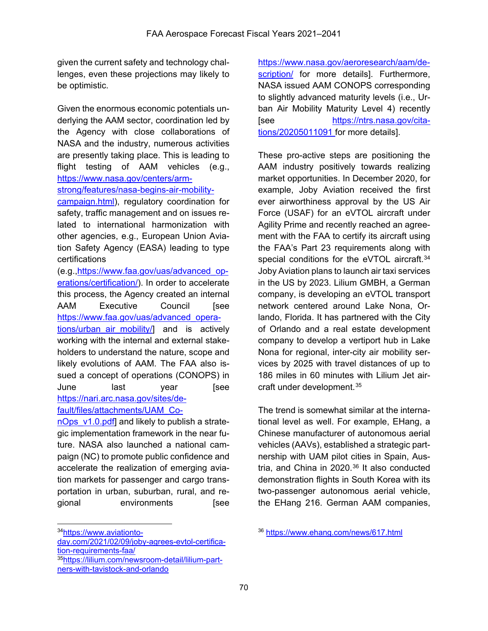given the current safety and technology challenges, even these projections may likely to be optimistic.

Given the enormous economic potentials underlying the AAM sector, coordination led by the Agency with close collaborations of NASA and the industry, numerous activities are presently taking place. This is leading to flight testing of AAM vehicles (e.g., [https://www.nasa.gov/centers/arm-](https://www.nasa.gov/centers/armstrong/features/nasa-begins-air-mobility-campaign.html)

[strong/features/nasa-begins-air-mobility-](https://www.nasa.gov/centers/armstrong/features/nasa-begins-air-mobility-campaign.html)

[campaign.html\)](https://www.nasa.gov/centers/armstrong/features/nasa-begins-air-mobility-campaign.html), regulatory coordination for safety, traffic management and on issues related to international harmonization with other agencies, e.g., European Union Aviation Safety Agency (EASA) leading to type certifications

(e.g.[,https://www.faa.gov/uas/advanced\\_op](https://www.faa.gov/uas/advanced_operations/certification/)[erations/certification/\)](https://www.faa.gov/uas/advanced_operations/certification/). In order to accelerate this process, the Agency created an internal AAM Executive Council [see [https://www.faa.gov/uas/advanced\\_opera-](https://www.faa.gov/uas/advanced_operations/urban_air_mobility/)

[tions/urban\\_air\\_mobility/\]](https://www.faa.gov/uas/advanced_operations/urban_air_mobility/) and is actively working with the internal and external stakeholders to understand the nature, scope and likely evolutions of AAM. The FAA also issued a concept of operations (CONOPS) in June last year [see [https://nari.arc.nasa.gov/sites/de](https://nari.arc.nasa.gov/sites/default/files/attachments/UAM_ConOps_v1.0.pdf)[fault/files/attachments/UAM\\_Co-](https://nari.arc.nasa.gov/sites/default/files/attachments/UAM_ConOps_v1.0.pdf)

nOps v1.0.pdf] and likely to publish a strategic implementation framework in the near future. NASA also launched a national campaign (NC) to promote public confidence and accelerate the realization of emerging aviation markets for passenger and cargo transportation in urban, suburban, rural, and regional environments [see

<span id="page-26-0"></span>3[4https://www.aviationto-](https://www.aviationtoday.com/2021/02/09/joby-agrees-evtol-certification-requirements-faa/)

 $\overline{a}$ 

[day.com/2021/02/09/joby-agrees-evtol-certifica](https://www.aviationtoday.com/2021/02/09/joby-agrees-evtol-certification-requirements-faa/)[tion-requirements-faa/](https://www.aviationtoday.com/2021/02/09/joby-agrees-evtol-certification-requirements-faa/)

<span id="page-26-1"></span>3[5https://lilium.com/newsroom-detail/lilium-part](https://lilium.com/newsroom-detail/lilium-partners-with-tavistock-and-orlando)[ners-with-tavistock-and-orlando](https://lilium.com/newsroom-detail/lilium-partners-with-tavistock-and-orlando)

[https://www.nasa.gov/aeroresearch/aam/de](https://www.nasa.gov/aeroresearch/aam/description/)[scription/](https://www.nasa.gov/aeroresearch/aam/description/) for more details]. Furthermore, NASA issued AAM CONOPS corresponding to slightly advanced maturity levels (i.e., Urban Air Mobility Maturity Level 4) recently [see [https://ntrs.nasa.gov/cita](https://ntrs.nasa.gov/citations/20205011091)[tions/20205011091](https://ntrs.nasa.gov/citations/20205011091) for more details].

These pro-active steps are positioning the AAM industry positively towards realizing market opportunities. In December 2020, for example, Joby Aviation received the first ever airworthiness approval by the US Air Force (USAF) for an eVTOL aircraft under Agility Prime and recently reached an agreement with the FAA to certify its aircraft using the FAA's Part 23 requirements along with special conditions for the eVTOL aircraft.<sup>[34](#page-26-0)</sup> Joby Aviation plans to launch air taxi services in the US by 2023. Lilium GMBH, a German company, is developing an eVTOL transport network centered around Lake Nona, Orlando, Florida. It has partnered with the City of Orlando and a real estate development company to develop a vertiport hub in Lake Nona for regional, inter-city air mobility services by 2025 with travel distances of up to 186 miles in 60 minutes with Lilium Jet aircraft under development.[35](#page-26-1)

The trend is somewhat similar at the international level as well. For example, EHang, a Chinese manufacturer of autonomous aerial vehicles (AAVs), established a strategic partnership with UAM pilot cities in Spain, Aus-tria, and China in 2020.<sup>[36](#page-26-0)</sup> It also conducted demonstration flights in South Korea with its two-passenger autonomous aerial vehicle, the EHang 216. German AAM companies,

<sup>36</sup> <https://www.ehang.com/news/617.html>